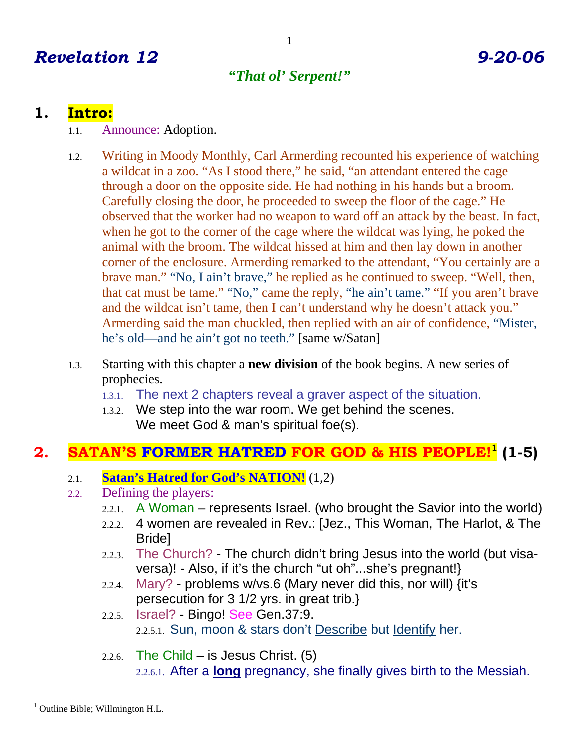# *Revelation 12 9-20-06*

# *"That ol' Serpent!"*

# **1. Intro:**

- 1.1. Announce: Adoption.
- 1.2. Writing in Moody Monthly, Carl Armerding recounted his experience of watching a wildcat in a zoo. "As I stood there," he said, "an attendant entered the cage through a door on the opposite side. He had nothing in his hands but a broom. Carefully closing the door, he proceeded to sweep the floor of the cage." He observed that the worker had no weapon to ward off an attack by the beast. In fact, when he got to the corner of the cage where the wildcat was lying, he poked the animal with the broom. The wildcat hissed at him and then lay down in another corner of the enclosure. Armerding remarked to the attendant, "You certainly are a brave man." "No, I ain't brave," he replied as he continued to sweep. "Well, then, that cat must be tame." "No," came the reply, "he ain't tame." "If you aren't brave and the wildcat isn't tame, then I can't understand why he doesn't attack you." Armerding said the man chuckled, then replied with an air of confidence, "Mister, he's old—and he ain't got no teeth." [same w/Satan]
- 1.3. Starting with this chapter a **new division** of the book begins. A new series of prophecies.
	- 1.3.1. The next 2 chapters reveal a graver aspect of the situation.
	- 1.3.2. We step into the war room. We get behind the scenes. We meet God & man's spiritual foe(s).

#### **2. SATAN'S FORMER HATRED FOR GOD & HIS PEOPLE!1 (1-5)**

- 2.1. **Satan's Hatred for God's NATION!** (1,2)
- 2.2. Defining the players:
	- 2.2.1. A Woman represents Israel. (who brought the Savior into the world)
	- 2.2.2. 4 women are revealed in Rev.: [Jez., This Woman, The Harlot, & The Bride]
	- 2.2.3. The Church? The church didn't bring Jesus into the world (but visaversa)! - Also, if it's the church "ut oh"...she's pregnant!}
	- 2.2.4. Mary? problems w/vs.6 (Mary never did this, nor will) {it's persecution for 3 1/2 yrs. in great trib.}
	- 2.2.5. **Israel? Bingo! See Gen.37:9.** 2.2.5.1. Sun, moon & stars don't Describe but Identify her.
	- 2.2.6. The Child is Jesus Christ.  $(5)$ 2.2.6.1. After a **long** pregnancy, she finally gives birth to the Messiah.

<sup>-</sup><sup>1</sup> Outline Bible; Willmington H.L.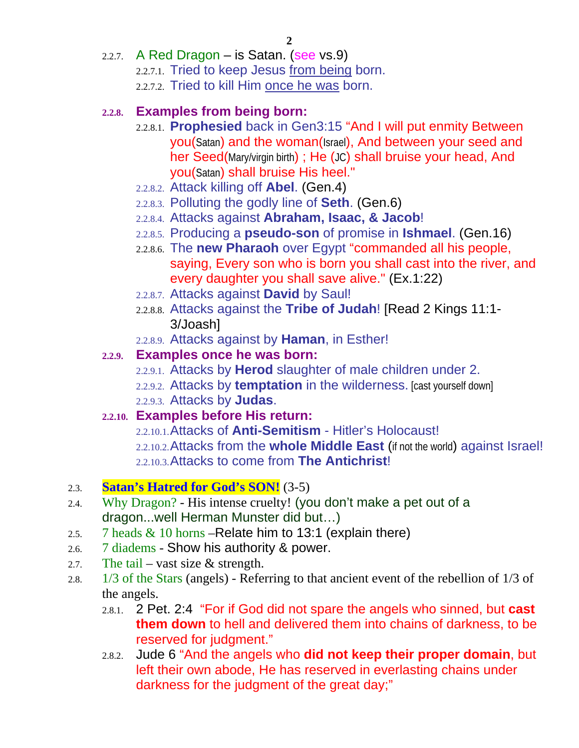- 2.2.7. A Red Dragon is Satan. (see  $vs.9$ )
	- 2.2.7.1. Tried to keep Jesus from being born.
	- 2.2.7.2. Tried to kill Him once he was born.

#### **2.2.8. Examples from being born:**

- 2.2.8.1. **Prophesied** back in Gen3:15 "And I will put enmity Between you(Satan) and the woman(Israel), And between your seed and her Seed(Mary/virgin birth) ; He (JC) shall bruise your head, And you(Satan) shall bruise His heel."
- 2.2.8.2. Attack killing off **Abel**. (Gen.4)
- 2.2.8.3. Polluting the godly line of **Seth**. (Gen.6)
- 2.2.8.4. Attacks against **Abraham, Isaac, & Jacob**!
- 2.2.8.5. Producing a **pseudo-son** of promise in **Ishmael**. (Gen.16)
- 2.2.8.6. The **new Pharaoh** over Egypt "commanded all his people, saying, Every son who is born you shall cast into the river, and every daughter you shall save alive." (Ex.1:22)
- 2.2.8.7. Attacks against **David** by Saul!
- 2.2.8.8. Attacks against the **Tribe of Judah**! [Read 2 Kings 11:1- 3/Joash]
- 2.2.8.9. Attacks against by **Haman**, in Esther!

#### **2.2.9. Examples once he was born:**

- 2.2.9.1. Attacks by **Herod** slaughter of male children under 2.
- 2.2.9.2. Attacks by **temptation** in the wilderness. [cast yourself down]
- 2.2.9.3. Attacks by **Judas**.

### **2.2.10. Examples before His return:**

2.2.10.1.Attacks of **Anti-Semitism** - Hitler's Holocaust! 2.2.10.2.Attacks from the **whole Middle East** (if not the world) against Israel! 2.2.10.3.Attacks to come from **The Antichrist**!

### 2.3. **Satan's Hatred for God's SON!** (3-5)

- 2.4. Why Dragon? His intense cruelty! (you don't make a pet out of a dragon...well Herman Munster did but…)
- 2.5. 7 heads  $& 10$  horns Relate him to 13:1 (explain there)
- 2.6. 7 diadems Show his authority & power.
- 2.7. The tail vast size  $&$  strength.
- 2.8. 1/3 of the Stars (angels) Referring to that ancient event of the rebellion of 1/3 of the angels.
	- 2.8.1. 2 Pet. 2:4 "For if God did not spare the angels who sinned, but **cast them down** to hell and delivered them into chains of darkness, to be reserved for judgment."
	- 2.8.2. Jude 6 "And the angels who **did not keep their proper domain**, but left their own abode, He has reserved in everlasting chains under darkness for the judgment of the great day;"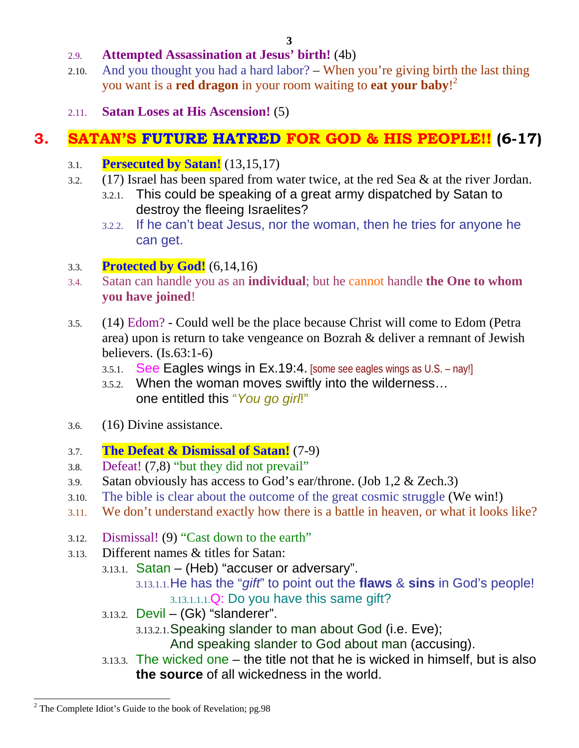#### 2.9. **Attempted Assassination at Jesus' birth!** (4b)

- 2.10. And you thought you had a hard labor? When you're giving birth the last thing you want is a **red dragon** in your room waiting to **eat your baby**! 2
- 2.11. **Satan Loses at His Ascension!** (5)

# **3. SATAN'S FUTURE HATRED FOR GOD & HIS PEOPLE!! (6-17)**

- 3.1. **Persecuted by Satan!** (13,15,17)
- 3.2. (17) Israel has been spared from water twice, at the red Sea & at the river Jordan.
	- 3.2.1. This could be speaking of a great army dispatched by Satan to destroy the fleeing Israelites?
	- 3.2.2. If he can't beat Jesus, nor the woman, then he tries for anyone he can get.

#### 3.3. **Protected by God!** (6,14,16)

- 3.4. Satan can handle you as an **individual**; but he cannot handle **the One to whom you have joined**!
- 3.5. (14) Edom? Could well be the place because Christ will come to Edom (Petra area) upon is return to take vengeance on Bozrah & deliver a remnant of Jewish believers. (Is.63:1-6)
	- 3.5.1. See Eagles wings in Ex.19:4. [some see eagles wings as U.S. nay!]
	- 3.5.2. When the woman moves swiftly into the wilderness… one entitled this "*You go girl*!"
- 3.6. (16) Divine assistance.
- 3.7. **The Defeat & Dismissal of Satan!** (7-9)
- 3.8. Defeat! (7,8) "but they did not prevail"
- 3.9. Satan obviously has access to God's ear/throne. (Job 1,2 & Zech.3)
- 3.10. The bible is clear about the outcome of the great cosmic struggle (We win!)
- 3.11. We don't understand exactly how there is a battle in heaven, or what it looks like?
- 3.12. Dismissal! (9) "Cast down to the earth"
- 3.13. Different names & titles for Satan:
	- 3.13.1. Satan (Heb) "accuser or adversary".
		- 3.13.1.1.He has the "*gift*" to point out the **flaws** & **sins** in God's people! 3.13.1.1.1.Q: Do you have this same gift?
	- 3.13.2. Devil (Gk) "slanderer".
		- 3.13.2.1.Speaking slander to man about God (i.e. Eve);

And speaking slander to God about man (accusing).

3.13.3. The wicked one – the title not that he is wicked in himself, but is also **the source** of all wickedness in the world.

<sup>-</sup> $2^2$  The Complete Idiot's Guide to the book of Revelation; pg.98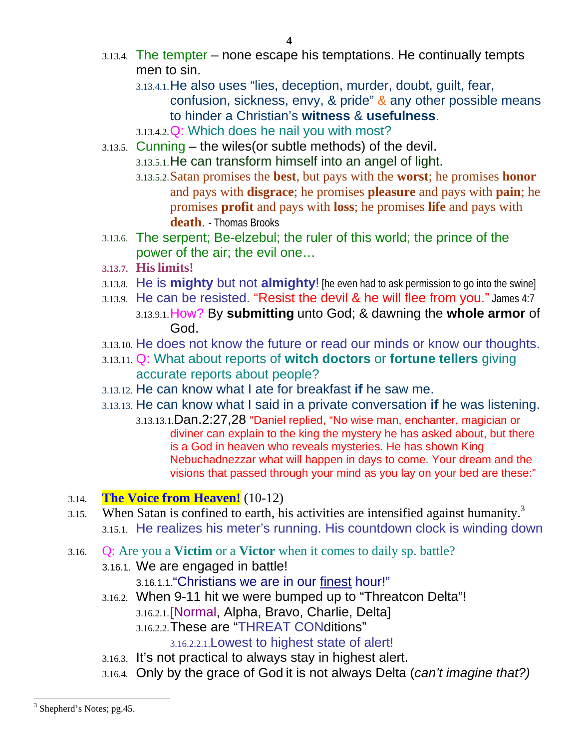- 3.13.4. The tempter none escape his temptations. He continually tempts men to sin.
	- 3.13.4.1.He also uses "lies, deception, murder, doubt, guilt, fear, confusion, sickness, envy, & pride" & any other possible means to hinder a Christian's **witness** & **usefulness**.
	- 3.13.4.2.Q: Which does he nail you with most?
- 3.13.5. Cunning the wiles(or subtle methods) of the devil.
	- 3.13.5.1.He can transform himself into an angel of light.
	- 3.13.5.2.Satan promises the **best**, but pays with the **worst**; he promises **honor** and pays with **disgrace**; he promises **pleasure** and pays with **pain**; he promises **profit** and pays with **loss**; he promises **life** and pays with **death**. - Thomas Brooks
- 3.13.6. The serpent; Be-elzebul; the ruler of this world; the prince of the power of the air; the evil one…
- **3.13.7. Hislimits!**
- 3.13.8. He is **mighty** but not **almighty**! [he even had to ask permission to go into the swine]
- 3.13.9. He can be resisted. "Resist the devil & he will flee from you." James 4:7 3.13.9.1.How? By **submitting** unto God; & dawning the **whole armor** of God.
- 3.13.10. He does not know the future or read our minds or know our thoughts.
- 3.13.11. Q: What about reports of **witch doctors** or **fortune tellers** giving accurate reports about people?
- 3.13.12. He can know what I ate for breakfast **if** he saw me.
- 3.13.13. He can know what I said in a private conversation **if** he was listening.
	- 3.13.13.1.Dan.2:27,28 "Daniel replied, "No wise man, enchanter, magician or diviner can explain to the king the mystery he has asked about, but there is a God in heaven who reveals mysteries. He has shown King Nebuchadnezzar what will happen in days to come. Your dream and the visions that passed through your mind as you lay on your bed are these:"
- 3.14. **The Voice from Heaven!** (10-12)
- 3.15. When Satan is confined to earth, his activities are intensified against humanity.<sup>3</sup> 3.15.1. He realizes his meter's running. His countdown clock is winding down
- 3.16. Q: Are you a **Victim** or a **Victor** when it comes to daily sp. battle?
	- 3.16.1. We are engaged in battle!
		- 3.16.1.1."Christians we are in our finest hour!"
	- 3.16.2. When 9-11 hit we were bumped up to "Threatcon Delta"! 3.16.2.1.[Normal, Alpha, Bravo, Charlie, Delta] 3.16.2.2.These are "THREAT CONditions"

3.16.2.2.1.Lowest to highest state of alert!

- 3.16.3. It's not practical to always stay in highest alert.
- 3.16.4. Only by the grace of God it is not always Delta (*can't imagine that?)*

 $\overline{\phantom{a}}$ 

<sup>&</sup>lt;sup>3</sup> Shepherd's Notes; pg.45.